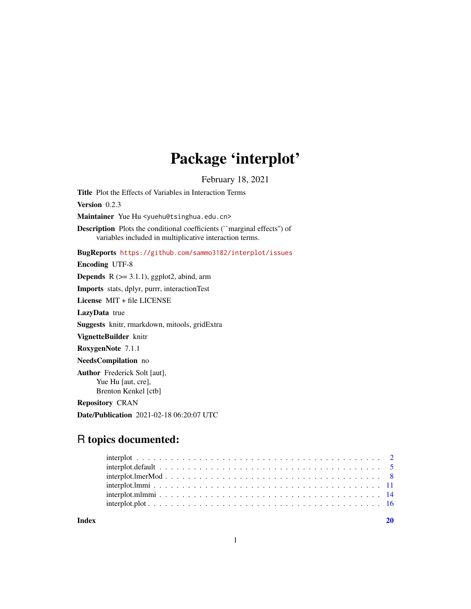## Package 'interplot'

February 18, 2021

<span id="page-0-0"></span>Title Plot the Effects of Variables in Interaction Terms Version 0.2.3 Maintainer Yue Hu <yuehu@tsinghua.edu.cn> Description Plots the conditional coefficients (``marginal effects'') of variables included in multiplicative interaction terms. BugReports <https://github.com/sammo3182/interplot/issues> Encoding UTF-8 **Depends**  $R$  ( $>= 3.1.1$ ), ggplot2, abind, arm Imports stats, dplyr, purrr, interactionTest License MIT + file LICENSE LazyData true Suggests knitr, rmarkdown, mitools, gridExtra VignetteBuilder knitr RoxygenNote 7.1.1 NeedsCompilation no Author Frederick Solt [aut], Yue Hu [aut, cre], Brenton Kenkel [ctb]

Repository CRAN

Date/Publication 2021-02-18 06:20:07 UTC

### R topics documented:

 $\bf 1$ ndex  $\bf 20$  $\bf 20$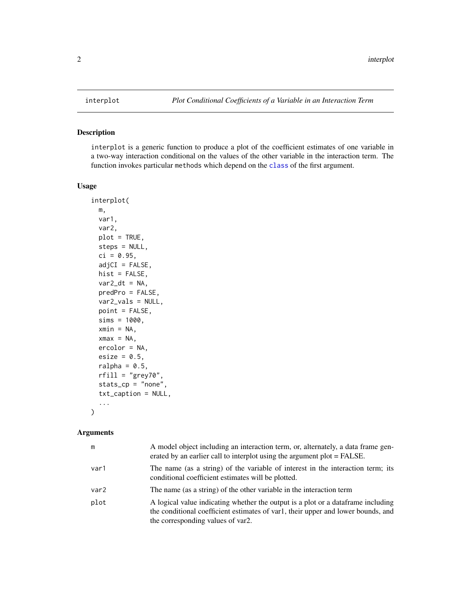#### Description

interplot is a generic function to produce a plot of the coefficient estimates of one variable in a two-way interaction conditional on the values of the other variable in the interaction term. The function invokes particular methods which depend on the [class](#page-0-0) of the first argument.

#### Usage

```
interplot(
 m,
  var1,
 var2,
 plot = TRUE,
 steps = NULL,
  ci = 0.95,adjCI = FALSE,hist = FALSE,
 var2_ddt = NA,
 predPro = FALSE,
 var2_vals = NULL,
 point = FALSE,
  sims = 1000,xmin = NA,
  xmax = NA,
 ercolor = NA,
  esize = 0.5,
  ralpha = 0.5,
  rfill = "grey70",
  stats_cp = "none",
  txt_caption = NULL,
  ...
```
#### Arguments

)

| m                | A model object including an interaction term, or, alternately, a data frame gen-<br>erated by an earlier call to interplot using the argument plot = FALSE.                                               |
|------------------|-----------------------------------------------------------------------------------------------------------------------------------------------------------------------------------------------------------|
| var1             | The name (as a string) of the variable of interest in the interaction term; its<br>conditional coefficient estimates will be plotted.                                                                     |
| var <sub>2</sub> | The name (as a string) of the other variable in the interaction term                                                                                                                                      |
| plot             | A logical value indicating whether the output is a plot or a dataframe including<br>the conditional coefficient estimates of var1, their upper and lower bounds, and<br>the corresponding values of var2. |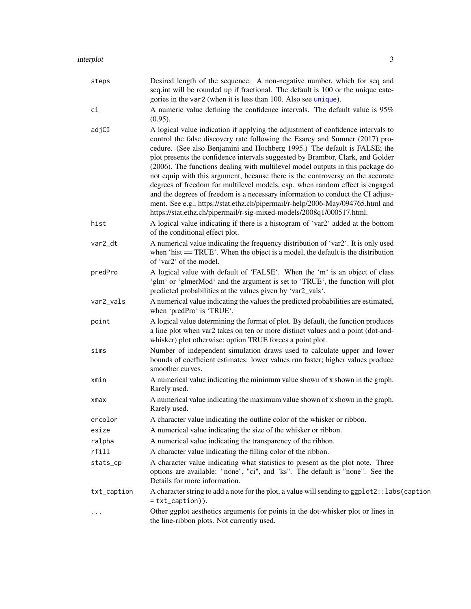<span id="page-2-0"></span>

| steps       | Desired length of the sequence. A non-negative number, which for seq and<br>seq.int will be rounded up if fractional. The default is 100 or the unique cate-<br>gories in the var2 (when it is less than 100. Also see unique).                                                                                                                                                                                                                                                                                                                                                                                                                                                                                                                                                                                                   |
|-------------|-----------------------------------------------------------------------------------------------------------------------------------------------------------------------------------------------------------------------------------------------------------------------------------------------------------------------------------------------------------------------------------------------------------------------------------------------------------------------------------------------------------------------------------------------------------------------------------------------------------------------------------------------------------------------------------------------------------------------------------------------------------------------------------------------------------------------------------|
| сi          | A numeric value defining the confidence intervals. The default value is 95%<br>$(0.95)$ .                                                                                                                                                                                                                                                                                                                                                                                                                                                                                                                                                                                                                                                                                                                                         |
| adjCI       | A logical value indication if applying the adjustment of confidence intervals to<br>control the false discovery rate following the Esarey and Sumner (2017) pro-<br>cedure. (See also Benjamini and Hochberg 1995.) The default is FALSE; the<br>plot presents the confidence intervals suggested by Brambor, Clark, and Golder<br>(2006). The functions dealing with multilevel model outputs in this package do<br>not equip with this argument, because there is the controversy on the accurate<br>degrees of freedom for multilevel models, esp. when random effect is engaged<br>and the degrees of freedom is a necessary information to conduct the CI adjust-<br>ment. See e.g., https://stat.ethz.ch/pipermail/r-help/2006-May/094765.html and<br>https://stat.ethz.ch/pipermail/r-sig-mixed-models/2008q1/000517.html. |
| hist        | A logical value indicating if there is a histogram of 'var2' added at the bottom<br>of the conditional effect plot.                                                                                                                                                                                                                                                                                                                                                                                                                                                                                                                                                                                                                                                                                                               |
| var2_dt     | A numerical value indicating the frequency distribution of 'var2'. It is only used<br>when 'hist $==TRUE'$ . When the object is a model, the default is the distribution<br>of 'var2' of the model.                                                                                                                                                                                                                                                                                                                                                                                                                                                                                                                                                                                                                               |
| predPro     | A logical value with default of 'FALSE'. When the 'm' is an object of class<br>'glm' or 'glmerMod' and the argument is set to 'TRUE', the function will plot<br>predicted probabilities at the values given by 'var2_vals'.                                                                                                                                                                                                                                                                                                                                                                                                                                                                                                                                                                                                       |
| var2_vals   | A numerical value indicating the values the predicted probabilities are estimated,<br>when 'predPro' is 'TRUE'.                                                                                                                                                                                                                                                                                                                                                                                                                                                                                                                                                                                                                                                                                                                   |
| point       | A logical value determining the format of plot. By default, the function produces<br>a line plot when var2 takes on ten or more distinct values and a point (dot-and-<br>whisker) plot otherwise; option TRUE forces a point plot.                                                                                                                                                                                                                                                                                                                                                                                                                                                                                                                                                                                                |
| sims        | Number of independent simulation draws used to calculate upper and lower<br>bounds of coefficient estimates: lower values run faster; higher values produce<br>smoother curves.                                                                                                                                                                                                                                                                                                                                                                                                                                                                                                                                                                                                                                                   |
| xmin        | A numerical value indicating the minimum value shown of x shown in the graph.<br>Rarely used.                                                                                                                                                                                                                                                                                                                                                                                                                                                                                                                                                                                                                                                                                                                                     |
| xmax        | A numerical value indicating the maximum value shown of x shown in the graph.<br>Rarely used.                                                                                                                                                                                                                                                                                                                                                                                                                                                                                                                                                                                                                                                                                                                                     |
| ercolor     | A character value indicating the outline color of the whisker or ribbon.                                                                                                                                                                                                                                                                                                                                                                                                                                                                                                                                                                                                                                                                                                                                                          |
| esize       | A numerical value indicating the size of the whisker or ribbon.                                                                                                                                                                                                                                                                                                                                                                                                                                                                                                                                                                                                                                                                                                                                                                   |
| ralpha      | A numerical value indicating the transparency of the ribbon.                                                                                                                                                                                                                                                                                                                                                                                                                                                                                                                                                                                                                                                                                                                                                                      |
| rfill       | A character value indicating the filling color of the ribbon.                                                                                                                                                                                                                                                                                                                                                                                                                                                                                                                                                                                                                                                                                                                                                                     |
| stats_cp    | A character value indicating what statistics to present as the plot note. Three<br>options are available: "none", "ci", and "ks". The default is "none". See the<br>Details for more information.                                                                                                                                                                                                                                                                                                                                                                                                                                                                                                                                                                                                                                 |
| txt_caption | A character string to add a note for the plot, a value will sending to ggplot2::labs(caption<br>$=$ txt_caption $)).$                                                                                                                                                                                                                                                                                                                                                                                                                                                                                                                                                                                                                                                                                                             |
| $\ddots$    | Other ggplot aesthetics arguments for points in the dot-whisker plot or lines in<br>the line-ribbon plots. Not currently used.                                                                                                                                                                                                                                                                                                                                                                                                                                                                                                                                                                                                                                                                                                    |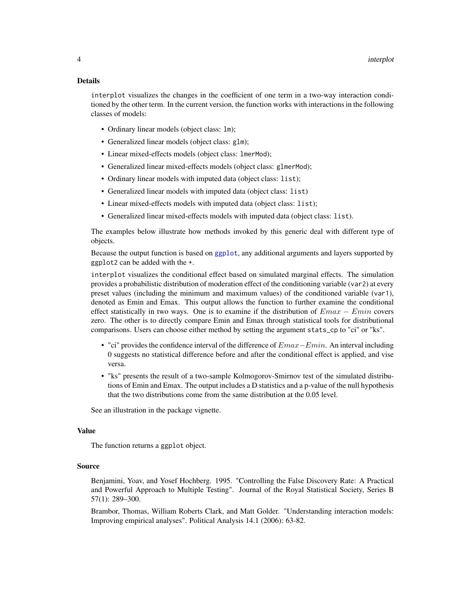<span id="page-3-0"></span>interplot visualizes the changes in the coefficient of one term in a two-way interaction conditioned by the other term. In the current version, the function works with interactions in the following classes of models:

- Ordinary linear models (object class: lm);
- Generalized linear models (object class: glm);
- Linear mixed-effects models (object class: lmerMod);
- Generalized linear mixed-effects models (object class: glmerMod);
- Ordinary linear models with imputed data (object class: list);
- Generalized linear models with imputed data (object class: list)
- Linear mixed-effects models with imputed data (object class: list);
- Generalized linear mixed-effects models with imputed data (object class: list).

The examples below illustrate how methods invoked by this generic deal with different type of objects.

Because the output function is based on [ggplot](#page-0-0), any additional arguments and layers supported by ggplot2 can be added with the +.

interplot visualizes the conditional effect based on simulated marginal effects. The simulation provides a probabilistic distribution of moderation effect of the conditioning variable (var2) at every preset values (including the minimum and maximum values) of the conditioned variable (var1), denoted as Emin and Emax. This output allows the function to further examine the conditional effect statistically in two ways. One is to examine if the distribution of  $Emax - Emin$  covers zero. The other is to directly compare Emin and Emax through statistical tools for distributional comparisons. Users can choose either method by setting the argument stats\_cp to "ci" or "ks".

- "ci" provides the confidence interval of the difference of  $Emax-Emin$ . An interval including 0 suggests no statistical difference before and after the conditional effect is applied, and vise versa.
- "ks" presents the result of a two-sample Kolmogorov-Smirnov test of the simulated distributions of Emin and Emax. The output includes a D statistics and a p-value of the null hypothesis that the two distributions come from the same distribution at the 0.05 level.

See an illustration in the package vignette.

#### Value

The function returns a ggplot object.

#### Source

Benjamini, Yoav, and Yosef Hochberg. 1995. "Controlling the False Discovery Rate: A Practical and Powerful Approach to Multiple Testing". Journal of the Royal Statistical Society, Series B 57(1): 289–300.

Brambor, Thomas, William Roberts Clark, and Matt Golder. "Understanding interaction models: Improving empirical analyses". Political Analysis 14.1 (2006): 63-82.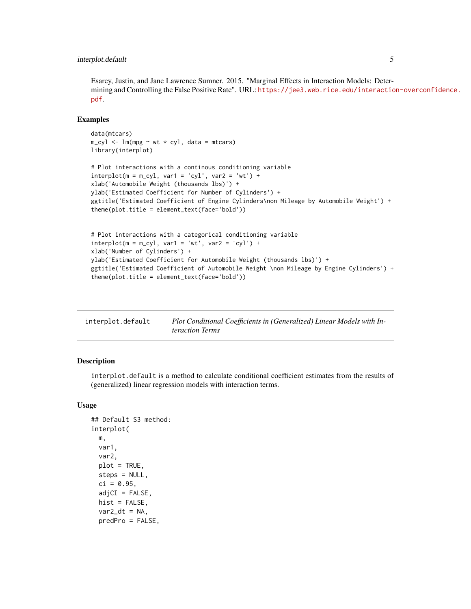#### <span id="page-4-0"></span>interplot.default 5

Esarey, Justin, and Jane Lawrence Sumner. 2015. "Marginal Effects in Interaction Models: Determining and Controlling the False Positive Rate". URL: [https://jee3.web.rice.edu/interactio](https://jee3.web.rice.edu/interaction-overconfidence.pdf)n-overconfidence. [pdf](https://jee3.web.rice.edu/interaction-overconfidence.pdf).

#### Examples

```
data(mtcars)
m_cyl \leq Im(mpg \sim wt * cyl, data = mtcars)library(interplot)
# Plot interactions with a continous conditioning variable
interplot(m = m_cyl, var1 = 'cyl', var2 = 'wt') +xlab('Automobile Weight (thousands lbs)') +
ylab('Estimated Coefficient for Number of Cylinders') +
ggtitle('Estimated Coefficient of Engine Cylinders\non Mileage by Automobile Weight') +
theme(plot.title = element_text(face='bold'))
# Plot interactions with a categorical conditioning variable
interplot(m = m_cyl, var1 = 'wt', var2 = 'cyl') +xlab('Number of Cylinders') +
ylab('Estimated Coefficient for Automobile Weight (thousands lbs)') +
ggtitle('Estimated Coefficient of Automobile Weight \non Mileage by Engine Cylinders') +
```

| interplot.default | Plot Conditional Coefficients in (Generalized) Linear Models with In- |
|-------------------|-----------------------------------------------------------------------|
|                   | <i>teraction Terms</i>                                                |
|                   |                                                                       |

#### Description

interplot.default is a method to calculate conditional coefficient estimates from the results of (generalized) linear regression models with interaction terms.

#### Usage

```
## Default S3 method:
interplot(
 m,
  var1,
  var2,
 plot = TRUE,
  steps = NULL,
  ci = 0.95,
  adjCI = FALSE,
 hist = FALSE,var2_dt = NA,
  predPro = FALSE,
```
theme(plot.title = element\_text(face='bold'))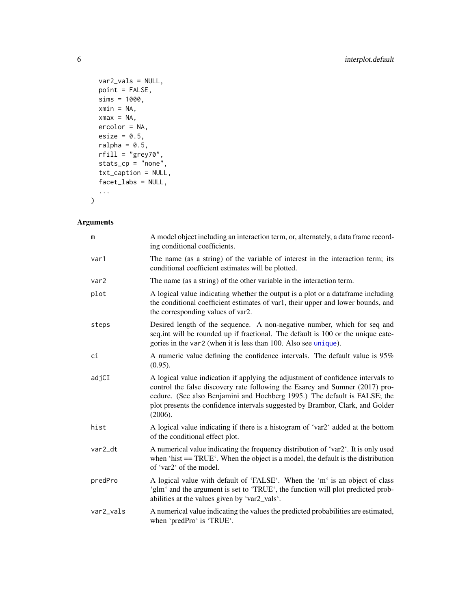```
var2_vals = NULL,
 point = FALSE,
 sims = 1000,xmin = NA,
 xmax = NA,
 ercolor = NA,
 esize = 0.5,
 ralpha = 0.5,
 rfill = "grey70",stats_cp = "none",
 txt_caption = NULL,
 facet_labs = NULL,
  ...
\mathcal{L}
```

| m         | A model object including an interaction term, or, alternately, a data frame record-<br>ing conditional coefficients.                                                                                                                                                                                                                       |
|-----------|--------------------------------------------------------------------------------------------------------------------------------------------------------------------------------------------------------------------------------------------------------------------------------------------------------------------------------------------|
| var1      | The name (as a string) of the variable of interest in the interaction term; its<br>conditional coefficient estimates will be plotted.                                                                                                                                                                                                      |
| var2      | The name (as a string) of the other variable in the interaction term.                                                                                                                                                                                                                                                                      |
| plot      | A logical value indicating whether the output is a plot or a dataframe including<br>the conditional coefficient estimates of var1, their upper and lower bounds, and<br>the corresponding values of var2.                                                                                                                                  |
| steps     | Desired length of the sequence. A non-negative number, which for seq and<br>seq.int will be rounded up if fractional. The default is 100 or the unique cate-<br>gories in the var2 (when it is less than 100. Also see unique).                                                                                                            |
| ci        | A numeric value defining the confidence intervals. The default value is 95%<br>$(0.95)$ .                                                                                                                                                                                                                                                  |
| adjCI     | A logical value indication if applying the adjustment of confidence intervals to<br>control the false discovery rate following the Esarey and Sumner (2017) pro-<br>cedure. (See also Benjamini and Hochberg 1995.) The default is FALSE; the<br>plot presents the confidence intervals suggested by Brambor, Clark, and Golder<br>(2006). |
| hist      | A logical value indicating if there is a histogram of 'var2' added at the bottom<br>of the conditional effect plot.                                                                                                                                                                                                                        |
| var2_dt   | A numerical value indicating the frequency distribution of 'var2'. It is only used<br>when 'hist $==TRUE'$ . When the object is a model, the default is the distribution<br>of 'var2' of the model.                                                                                                                                        |
| predPro   | A logical value with default of 'FALSE'. When the 'm' is an object of class<br>'glm' and the argument is set to 'TRUE', the function will plot predicted prob-<br>abilities at the values given by 'var2_vals'.                                                                                                                            |
| var2_vals | A numerical value indicating the values the predicted probabilities are estimated,<br>when 'predPro' is 'TRUE'.                                                                                                                                                                                                                            |

<span id="page-5-0"></span>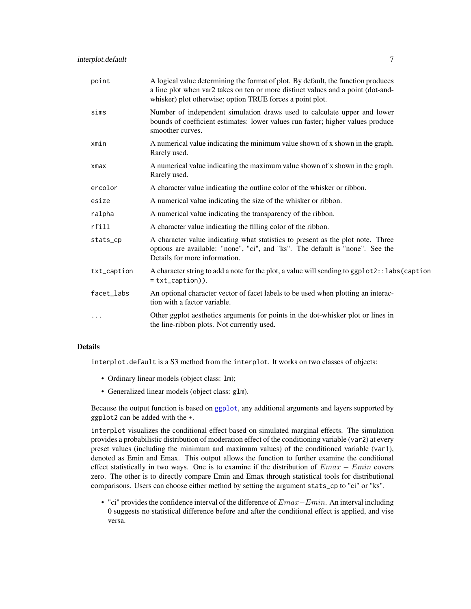<span id="page-6-0"></span>

| point       | A logical value determining the format of plot. By default, the function produces<br>a line plot when var2 takes on ten or more distinct values and a point (dot-and-<br>whisker) plot otherwise; option TRUE forces a point plot. |
|-------------|------------------------------------------------------------------------------------------------------------------------------------------------------------------------------------------------------------------------------------|
| sims        | Number of independent simulation draws used to calculate upper and lower<br>bounds of coefficient estimates: lower values run faster; higher values produce<br>smoother curves.                                                    |
| xmin        | A numerical value indicating the minimum value shown of x shown in the graph.<br>Rarely used.                                                                                                                                      |
| xmax        | A numerical value indicating the maximum value shown of x shown in the graph.<br>Rarely used.                                                                                                                                      |
| ercolor     | A character value indicating the outline color of the whisker or ribbon.                                                                                                                                                           |
| esize       | A numerical value indicating the size of the whisker or ribbon.                                                                                                                                                                    |
| ralpha      | A numerical value indicating the transparency of the ribbon.                                                                                                                                                                       |
| rfill       | A character value indicating the filling color of the ribbon.                                                                                                                                                                      |
| stats_cp    | A character value indicating what statistics to present as the plot note. Three<br>options are available: "none", "ci", and "ks". The default is "none". See the<br>Details for more information.                                  |
| txt_caption | A character string to add a note for the plot, a value will sending to ggplot2::labs(caption<br>$=$ txt_caption $)$ ).                                                                                                             |
| facet_labs  | An optional character vector of facet labels to be used when plotting an interac-<br>tion with a factor variable.                                                                                                                  |
| .           | Other ggplot aesthetics arguments for points in the dot-whisker plot or lines in<br>the line-ribbon plots. Not currently used.                                                                                                     |

interplot.default is a S3 method from the interplot. It works on two classes of objects:

- Ordinary linear models (object class: lm);
- Generalized linear models (object class: glm).

Because the output function is based on [ggplot](#page-0-0), any additional arguments and layers supported by ggplot2 can be added with the +.

interplot visualizes the conditional effect based on simulated marginal effects. The simulation provides a probabilistic distribution of moderation effect of the conditioning variable (var2) at every preset values (including the minimum and maximum values) of the conditioned variable (var1), denoted as Emin and Emax. This output allows the function to further examine the conditional effect statistically in two ways. One is to examine if the distribution of  $Emax - Emin$  covers zero. The other is to directly compare Emin and Emax through statistical tools for distributional comparisons. Users can choose either method by setting the argument stats\_cp to "ci" or "ks".

• "ci" provides the confidence interval of the difference of  $Emax-Emin$ . An interval including 0 suggests no statistical difference before and after the conditional effect is applied, and vise versa.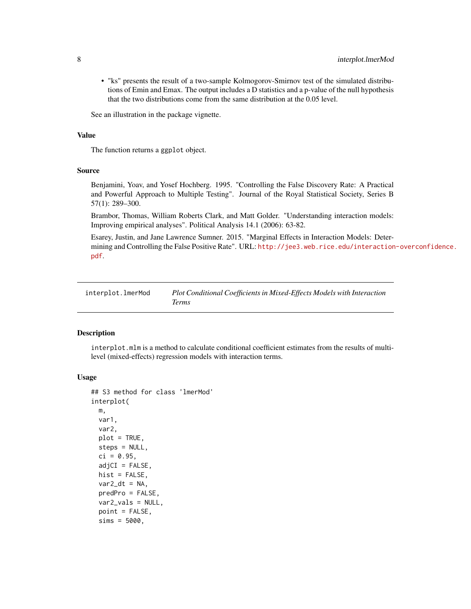<span id="page-7-0"></span>• "ks" presents the result of a two-sample Kolmogorov-Smirnov test of the simulated distributions of Emin and Emax. The output includes a D statistics and a p-value of the null hypothesis that the two distributions come from the same distribution at the 0.05 level.

See an illustration in the package vignette.

#### Value

The function returns a ggplot object.

#### Source

Benjamini, Yoav, and Yosef Hochberg. 1995. "Controlling the False Discovery Rate: A Practical and Powerful Approach to Multiple Testing". Journal of the Royal Statistical Society, Series B 57(1): 289–300.

Brambor, Thomas, William Roberts Clark, and Matt Golder. "Understanding interaction models: Improving empirical analyses". Political Analysis 14.1 (2006): 63-82.

Esarey, Justin, and Jane Lawrence Sumner. 2015. "Marginal Effects in Interaction Models: Determining and Controlling the False Positive Rate". URL: [http://jee3.web.rice.edu/interaction](http://jee3.web.rice.edu/interaction-overconfidence.pdf)-overconfidence. [pdf](http://jee3.web.rice.edu/interaction-overconfidence.pdf).

interplot.lmerMod *Plot Conditional Coefficients in Mixed-Effects Models with Interaction Terms*

#### Description

interplot.mlm is a method to calculate conditional coefficient estimates from the results of multilevel (mixed-effects) regression models with interaction terms.

#### Usage

```
## S3 method for class 'lmerMod'
interplot(
 m,
 var1,
 var2,
 plot = TRUE,
  steps = NULL,
  ci = 0.95,adjCI = FALSE,hist = FALSE,var2_dt = NA,
 predPro = FALSE,
 var2_vals = NULL,
  point = FALSE,
  sims = 5000,
```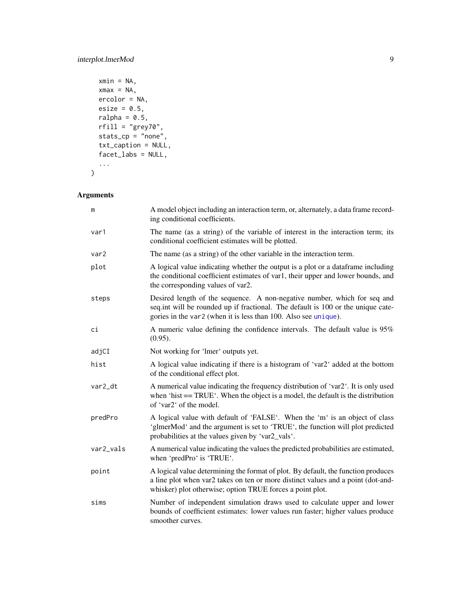```
xmin = NA,
 xmax = NA,
 ercolor = NA,
 esize = 0.5,
 ralpha = 0.5,
 rfill = "grey70",
 stats_cp = "none",
 txt_caption = NULL,facet_labs = NULL,
  ...
)
```

| m         | A model object including an interaction term, or, alternately, a data frame record-<br>ing conditional coefficients.                                                                                                               |
|-----------|------------------------------------------------------------------------------------------------------------------------------------------------------------------------------------------------------------------------------------|
| var1      | The name (as a string) of the variable of interest in the interaction term; its<br>conditional coefficient estimates will be plotted.                                                                                              |
| var2      | The name (as a string) of the other variable in the interaction term.                                                                                                                                                              |
| plot      | A logical value indicating whether the output is a plot or a dataframe including<br>the conditional coefficient estimates of var1, their upper and lower bounds, and<br>the corresponding values of var2.                          |
| steps     | Desired length of the sequence. A non-negative number, which for seq and<br>seq.int will be rounded up if fractional. The default is 100 or the unique cate-<br>gories in the var2 (when it is less than 100. Also see unique).    |
| сi        | A numeric value defining the confidence intervals. The default value is 95%<br>$(0.95)$ .                                                                                                                                          |
| adjCI     | Not working for 'lmer' outputs yet.                                                                                                                                                                                                |
| hist      | A logical value indicating if there is a histogram of 'var2' added at the bottom<br>of the conditional effect plot.                                                                                                                |
| var2_dt   | A numerical value indicating the frequency distribution of 'var2'. It is only used<br>when 'hist $==TRUE'$ . When the object is a model, the default is the distribution<br>of 'var2' of the model.                                |
| predPro   | A logical value with default of 'FALSE'. When the 'm' is an object of class<br>'glmerMod' and the argument is set to 'TRUE', the function will plot predicted<br>probabilities at the values given by 'var2_vals'.                 |
| var2_vals | A numerical value indicating the values the predicted probabilities are estimated,<br>when 'predPro' is 'TRUE'.                                                                                                                    |
| point     | A logical value determining the format of plot. By default, the function produces<br>a line plot when var2 takes on ten or more distinct values and a point (dot-and-<br>whisker) plot otherwise; option TRUE forces a point plot. |
| sims      | Number of independent simulation draws used to calculate upper and lower<br>bounds of coefficient estimates: lower values run faster; higher values produce<br>smoother curves.                                                    |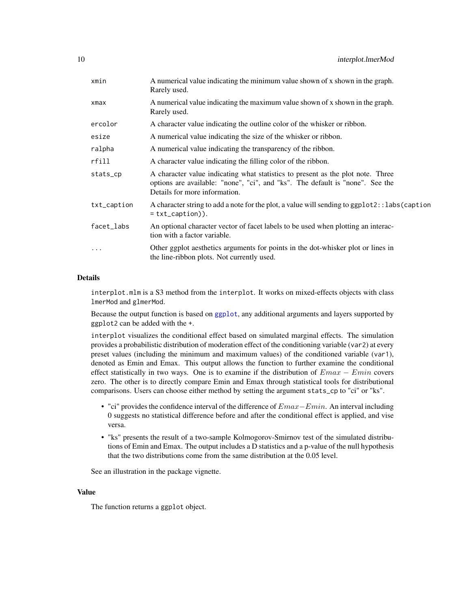<span id="page-9-0"></span>

| xmin        | A numerical value indicating the minimum value shown of x shown in the graph.<br>Rarely used.                                                                                                     |
|-------------|---------------------------------------------------------------------------------------------------------------------------------------------------------------------------------------------------|
| xmax        | A numerical value indicating the maximum value shown of x shown in the graph.<br>Rarely used.                                                                                                     |
| ercolor     | A character value indicating the outline color of the whisker or ribbon.                                                                                                                          |
| esize       | A numerical value indicating the size of the whisker or ribbon.                                                                                                                                   |
| ralpha      | A numerical value indicating the transparency of the ribbon.                                                                                                                                      |
| rfill       | A character value indicating the filling color of the ribbon.                                                                                                                                     |
| stats_cp    | A character value indicating what statistics to present as the plot note. Three<br>options are available: "none", "ci", and "ks". The default is "none". See the<br>Details for more information. |
| txt_caption | A character string to add a note for the plot, a value will sending to ggplot2:: labs (caption<br>$=$ txt_caption)).                                                                              |
| facet_labs  | An optional character vector of facet labels to be used when plotting an interac-<br>tion with a factor variable.                                                                                 |
| $\cdots$    | Other ggplot aesthetics arguments for points in the dot-whisker plot or lines in<br>the line-ribbon plots. Not currently used.                                                                    |
|             |                                                                                                                                                                                                   |

interplot.mlm is a S3 method from the interplot. It works on mixed-effects objects with class lmerMod and glmerMod.

Because the output function is based on [ggplot](#page-0-0), any additional arguments and layers supported by ggplot2 can be added with the +.

interplot visualizes the conditional effect based on simulated marginal effects. The simulation provides a probabilistic distribution of moderation effect of the conditioning variable (var2) at every preset values (including the minimum and maximum values) of the conditioned variable (var1), denoted as Emin and Emax. This output allows the function to further examine the conditional effect statistically in two ways. One is to examine if the distribution of  $Emax - Emin$  covers zero. The other is to directly compare Emin and Emax through statistical tools for distributional comparisons. Users can choose either method by setting the argument stats\_cp to "ci" or "ks".

- "ci" provides the confidence interval of the difference of  $Emax-Emin$ . An interval including 0 suggests no statistical difference before and after the conditional effect is applied, and vise versa.
- "ks" presents the result of a two-sample Kolmogorov-Smirnov test of the simulated distributions of Emin and Emax. The output includes a D statistics and a p-value of the null hypothesis that the two distributions come from the same distribution at the 0.05 level.

See an illustration in the package vignette.

#### Value

The function returns a ggplot object.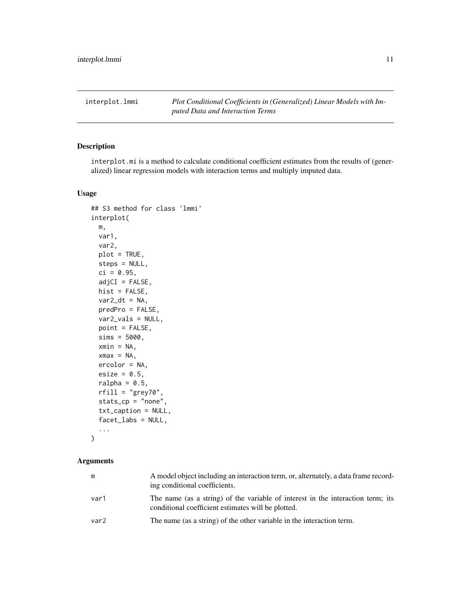<span id="page-10-0"></span>interplot.lmmi *Plot Conditional Coefficients in (Generalized) Linear Models with Imputed Data and Interaction Terms*

#### Description

interplot.mi is a method to calculate conditional coefficient estimates from the results of (generalized) linear regression models with interaction terms and multiply imputed data.

#### Usage

```
## S3 method for class 'lmmi'
interplot(
 m,
  var1,
  var2,
 plot = TRUE,
 steps = NULL,
  ci = 0.95,adjCI = FALSE,hist = FALSE,
  var2_dt = NA,
 predPro = FALSE,
  var2_vals = NULL,
 point = FALSE,
  sims = 5000,
  xmin = NA,
 xmax = NA,
 ercolor = NA,
 esize = 0.5,
  ralpha = 0.5,
  rfill = "grey70",
  stats_cp = "none",
  txt_caption = NULL,
  facet_labs = NULL,
  ...
```
)

| m                | A model object including an interaction term, or, alternately, a data frame record-<br>ing conditional coefficients.                  |
|------------------|---------------------------------------------------------------------------------------------------------------------------------------|
| var1             | The name (as a string) of the variable of interest in the interaction term; its<br>conditional coefficient estimates will be plotted. |
| var <sub>2</sub> | The name (as a string) of the other variable in the interaction term.                                                                 |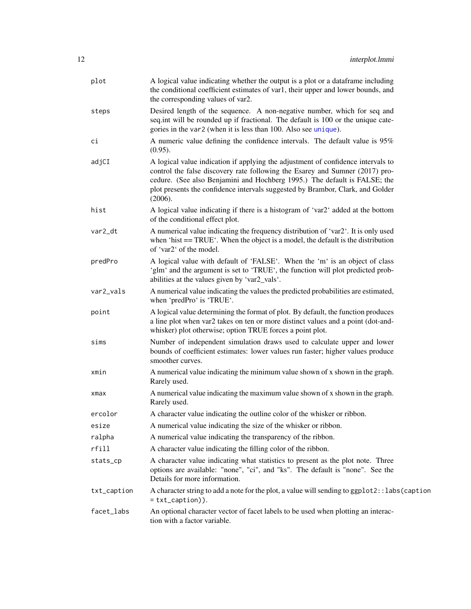<span id="page-11-0"></span>

| plot        | A logical value indicating whether the output is a plot or a dataframe including<br>the conditional coefficient estimates of var1, their upper and lower bounds, and<br>the corresponding values of var2.                                                                                                                                  |
|-------------|--------------------------------------------------------------------------------------------------------------------------------------------------------------------------------------------------------------------------------------------------------------------------------------------------------------------------------------------|
| steps       | Desired length of the sequence. A non-negative number, which for seq and<br>seq.int will be rounded up if fractional. The default is 100 or the unique cate-<br>gories in the var2 (when it is less than 100. Also see unique).                                                                                                            |
| сi          | A numeric value defining the confidence intervals. The default value is 95%<br>(0.95).                                                                                                                                                                                                                                                     |
| adjCI       | A logical value indication if applying the adjustment of confidence intervals to<br>control the false discovery rate following the Esarey and Sumner (2017) pro-<br>cedure. (See also Benjamini and Hochberg 1995.) The default is FALSE; the<br>plot presents the confidence intervals suggested by Brambor, Clark, and Golder<br>(2006). |
| hist        | A logical value indicating if there is a histogram of 'var2' added at the bottom<br>of the conditional effect plot.                                                                                                                                                                                                                        |
| var2_dt     | A numerical value indicating the frequency distribution of 'var2'. It is only used<br>when 'hist $==TRUE'$ . When the object is a model, the default is the distribution<br>of 'var2' of the model.                                                                                                                                        |
| predPro     | A logical value with default of 'FALSE'. When the 'm' is an object of class<br>'glm' and the argument is set to 'TRUE', the function will plot predicted prob-<br>abilities at the values given by 'var2_vals'.                                                                                                                            |
| var2_vals   | A numerical value indicating the values the predicted probabilities are estimated,<br>when 'predPro' is 'TRUE'.                                                                                                                                                                                                                            |
| point       | A logical value determining the format of plot. By default, the function produces<br>a line plot when var2 takes on ten or more distinct values and a point (dot-and-<br>whisker) plot otherwise; option TRUE forces a point plot.                                                                                                         |
| sims        | Number of independent simulation draws used to calculate upper and lower<br>bounds of coefficient estimates: lower values run faster; higher values produce<br>smoother curves.                                                                                                                                                            |
| xmin        | A numerical value indicating the minimum value shown of x shown in the graph.<br>Rarely used.                                                                                                                                                                                                                                              |
| xmax        | A numerical value indicating the maximum value shown of x shown in the graph.<br>Rarely used.                                                                                                                                                                                                                                              |
| ercolor     | A character value indicating the outline color of the whisker or ribbon.                                                                                                                                                                                                                                                                   |
| esize       | A numerical value indicating the size of the whisker or ribbon.                                                                                                                                                                                                                                                                            |
| ralpha      | A numerical value indicating the transparency of the ribbon.                                                                                                                                                                                                                                                                               |
| rfill       | A character value indicating the filling color of the ribbon.                                                                                                                                                                                                                                                                              |
| stats_cp    | A character value indicating what statistics to present as the plot note. Three<br>options are available: "none", "ci", and "ks". The default is "none". See the<br>Details for more information.                                                                                                                                          |
| txt_caption | A character string to add a note for the plot, a value will sending to ggplot2::labs(caption<br>$= txt_c$ <sub>aption</sub> $)).$                                                                                                                                                                                                          |
| facet_labs  | An optional character vector of facet labels to be used when plotting an interac-<br>tion with a factor variable.                                                                                                                                                                                                                          |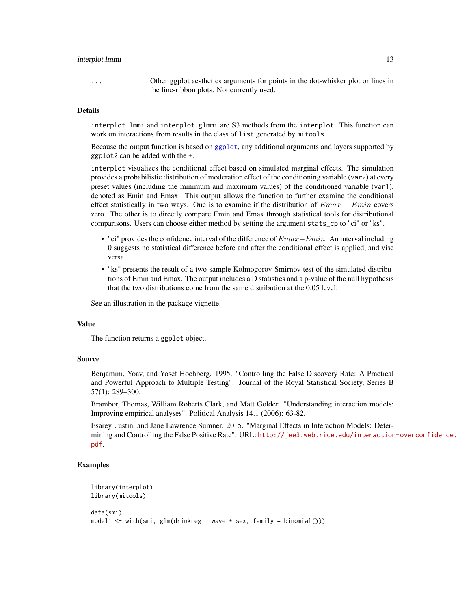#### <span id="page-12-0"></span>interplot.lmmi 13

... Other ggplot aesthetics arguments for points in the dot-whisker plot or lines in the line-ribbon plots. Not currently used.

#### Details

interplot.lmmi and interplot.glmmi are S3 methods from the interplot. This function can work on interactions from results in the class of list generated by mitools.

Because the output function is based on [ggplot](#page-0-0), any additional arguments and layers supported by ggplot2 can be added with the +.

interplot visualizes the conditional effect based on simulated marginal effects. The simulation provides a probabilistic distribution of moderation effect of the conditioning variable (var2) at every preset values (including the minimum and maximum values) of the conditioned variable (var1), denoted as Emin and Emax. This output allows the function to further examine the conditional effect statistically in two ways. One is to examine if the distribution of  $Emax - Emin$  covers zero. The other is to directly compare Emin and Emax through statistical tools for distributional comparisons. Users can choose either method by setting the argument stats\_cp to "ci" or "ks".

- "ci" provides the confidence interval of the difference of  $Emax-Emin$ . An interval including 0 suggests no statistical difference before and after the conditional effect is applied, and vise versa.
- "ks" presents the result of a two-sample Kolmogorov-Smirnov test of the simulated distributions of Emin and Emax. The output includes a D statistics and a p-value of the null hypothesis that the two distributions come from the same distribution at the 0.05 level.

See an illustration in the package vignette.

#### Value

The function returns a ggplot object.

#### Source

Benjamini, Yoav, and Yosef Hochberg. 1995. "Controlling the False Discovery Rate: A Practical and Powerful Approach to Multiple Testing". Journal of the Royal Statistical Society, Series B 57(1): 289–300.

Brambor, Thomas, William Roberts Clark, and Matt Golder. "Understanding interaction models: Improving empirical analyses". Political Analysis 14.1 (2006): 63-82.

Esarey, Justin, and Jane Lawrence Sumner. 2015. "Marginal Effects in Interaction Models: Determining and Controlling the False Positive Rate". URL: [http://jee3.web.rice.edu/interaction](http://jee3.web.rice.edu/interaction-overconfidence.pdf)-overconfidence. [pdf](http://jee3.web.rice.edu/interaction-overconfidence.pdf).

#### Examples

```
library(interplot)
library(mitools)
data(smi)
model1 <- with(smi, glm(drinkreg \sim wave \star sex, family = binomial()))
```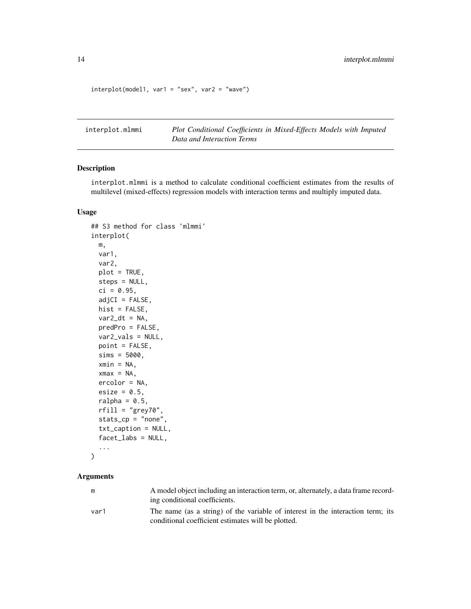```
interplot(model1, var1 = "sex", var2 = "wave")
```
interplot.mlmmi *Plot Conditional Coefficients in Mixed-Effects Models with Imputed Data and Interaction Terms*

#### Description

interplot.mlmmi is a method to calculate conditional coefficient estimates from the results of multilevel (mixed-effects) regression models with interaction terms and multiply imputed data.

#### Usage

```
## S3 method for class 'mlmmi'
interplot(
 m,
 var1,
  var2,
 plot = TRUE,
  steps = NULL,
  ci = 0.95,adjCI = FALSE,hist = FALSE,
 var2_dt = NA,
 predPro = FALSE,
  var2_vals = NULL,
 point = FALSE,
  sims = 5000,xmin = NA,
  xmax = NA,
 ercolor = NA,
 esize = 0.5,
  ralpha = 0.5,
  rfill = "grey70",
  stats_cp = "none",
  txt_caption = NULL,
  facet_labs = NULL,
  ...
\mathcal{L}
```

| m    | A model object including an interaction term, or, alternately, a data frame record- |
|------|-------------------------------------------------------------------------------------|
|      | ing conditional coefficients.                                                       |
| var1 | The name (as a string) of the variable of interest in the interaction term; its     |
|      | conditional coefficient estimates will be plotted.                                  |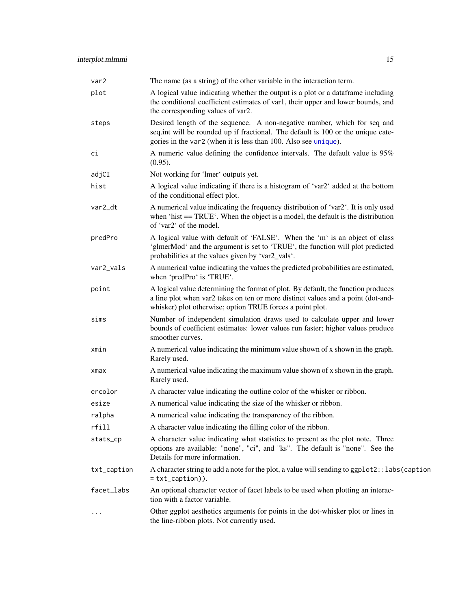<span id="page-14-0"></span>

| var2        | The name (as a string) of the other variable in the interaction term.                                                                                                                                                              |
|-------------|------------------------------------------------------------------------------------------------------------------------------------------------------------------------------------------------------------------------------------|
| plot        | A logical value indicating whether the output is a plot or a dataframe including<br>the conditional coefficient estimates of var1, their upper and lower bounds, and<br>the corresponding values of var2.                          |
| steps       | Desired length of the sequence. A non-negative number, which for seq and<br>seq.int will be rounded up if fractional. The default is 100 or the unique cate-<br>gories in the var2 (when it is less than 100. Also see unique).    |
| сi          | A numeric value defining the confidence intervals. The default value is 95%<br>(0.95).                                                                                                                                             |
| adjCI       | Not working for 'lmer' outputs yet.                                                                                                                                                                                                |
| hist        | A logical value indicating if there is a histogram of 'var2' added at the bottom<br>of the conditional effect plot.                                                                                                                |
| var2_dt     | A numerical value indicating the frequency distribution of 'var2'. It is only used<br>when 'hist $==TRUE'$ . When the object is a model, the default is the distribution<br>of 'var2' of the model.                                |
| predPro     | A logical value with default of 'FALSE'. When the 'm' is an object of class<br>'glmerMod' and the argument is set to 'TRUE', the function will plot predicted<br>probabilities at the values given by 'var2_vals'.                 |
| var2_vals   | A numerical value indicating the values the predicted probabilities are estimated,<br>when 'predPro' is 'TRUE'.                                                                                                                    |
| point       | A logical value determining the format of plot. By default, the function produces<br>a line plot when var2 takes on ten or more distinct values and a point (dot-and-<br>whisker) plot otherwise; option TRUE forces a point plot. |
| sims        | Number of independent simulation draws used to calculate upper and lower<br>bounds of coefficient estimates: lower values run faster; higher values produce<br>smoother curves.                                                    |
| xmin        | A numerical value indicating the minimum value shown of x shown in the graph.<br>Rarely used.                                                                                                                                      |
| xmax        | A numerical value indicating the maximum value shown of x shown in the graph.<br>Rarely used.                                                                                                                                      |
| ercolor     | A character value indicating the outline color of the whisker or ribbon.                                                                                                                                                           |
| esize       | A numerical value indicating the size of the whisker or ribbon.                                                                                                                                                                    |
| ralpha      | A numerical value indicating the transparency of the ribbon.                                                                                                                                                                       |
| rfill       | A character value indicating the filling color of the ribbon.                                                                                                                                                                      |
| stats_cp    | A character value indicating what statistics to present as the plot note. Three<br>options are available: "none", "ci", and "ks". The default is "none". See the<br>Details for more information.                                  |
| txt_caption | A character string to add a note for the plot, a value will sending to ggplot2::labs(caption<br>$= txt_c$ aption)).                                                                                                                |
| facet_labs  | An optional character vector of facet labels to be used when plotting an interac-<br>tion with a factor variable.                                                                                                                  |
|             | Other ggplot aesthetics arguments for points in the dot-whisker plot or lines in<br>the line-ribbon plots. Not currently used.                                                                                                     |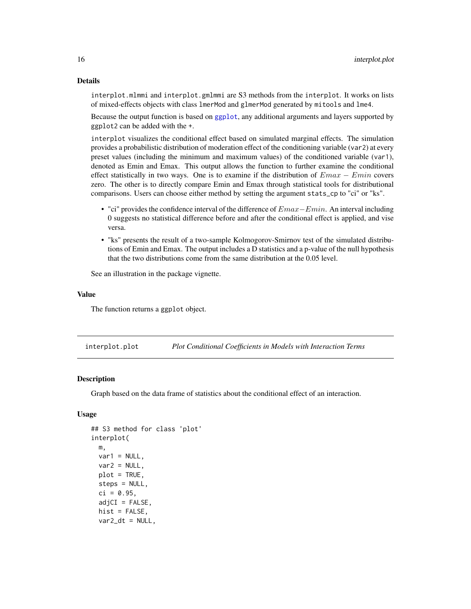<span id="page-15-0"></span>interplot.mlmmi and interplot.gmlmmi are S3 methods from the interplot. It works on lists of mixed-effects objects with class lmerMod and glmerMod generated by mitools and lme4.

Because the output function is based on [ggplot](#page-0-0), any additional arguments and layers supported by ggplot2 can be added with the +.

interplot visualizes the conditional effect based on simulated marginal effects. The simulation provides a probabilistic distribution of moderation effect of the conditioning variable (var2) at every preset values (including the minimum and maximum values) of the conditioned variable (var1), denoted as Emin and Emax. This output allows the function to further examine the conditional effect statistically in two ways. One is to examine if the distribution of  $Emax - Emin$  covers zero. The other is to directly compare Emin and Emax through statistical tools for distributional comparisons. Users can choose either method by setting the argument stats\_cp to "ci" or "ks".

- "ci" provides the confidence interval of the difference of  $Emax-Emin$ . An interval including 0 suggests no statistical difference before and after the conditional effect is applied, and vise versa.
- "ks" presents the result of a two-sample Kolmogorov-Smirnov test of the simulated distributions of Emin and Emax. The output includes a D statistics and a p-value of the null hypothesis that the two distributions come from the same distribution at the 0.05 level.

See an illustration in the package vignette.

#### Value

The function returns a ggplot object.

interplot.plot *Plot Conditional Coefficients in Models with Interaction Terms*

#### Description

Graph based on the data frame of statistics about the conditional effect of an interaction.

#### Usage

```
## S3 method for class 'plot'
interplot(
 m,
 var1 = NULL,var2 = NULL,plot = TRUE,
 steps = NULL,
  ci = 0.95,
  adjCI = FALSE,hist = FALSE,var2_dt = NULL,
```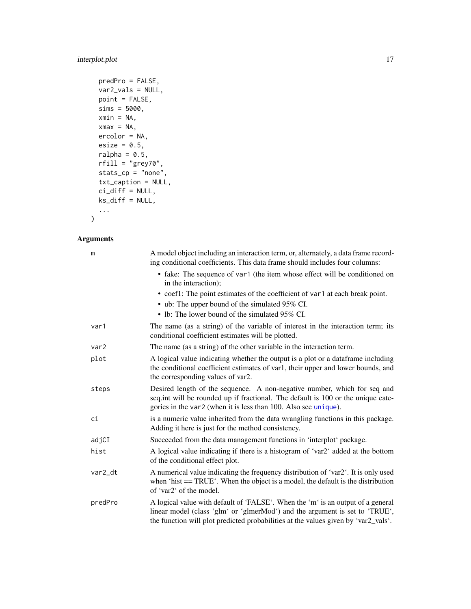#### <span id="page-16-0"></span>interplot.plot 17

```
predPro = FALSE,
var2_vals = NULL,
point = FALSE,sims = 5000,
xmin = NA,
xmax = NA,
ercolor = NA,
esize = 0.5,
ralpha = 0.5,
rfill = "grey70",
stats_cp = "none",
txt_caption = NULL,
ci_diff = NULL,
ks_diff = NULL,
...
```
#### Arguments

)

| m       | A model object including an interaction term, or, alternately, a data frame record-<br>ing conditional coefficients. This data frame should includes four columns:                                                                                   |
|---------|------------------------------------------------------------------------------------------------------------------------------------------------------------------------------------------------------------------------------------------------------|
|         | • fake: The sequence of var1 (the item whose effect will be conditioned on<br>in the interaction);                                                                                                                                                   |
|         | • coef1: The point estimates of the coefficient of var1 at each break point.                                                                                                                                                                         |
|         | • ub: The upper bound of the simulated 95% CI.                                                                                                                                                                                                       |
|         | • lb: The lower bound of the simulated $95\%$ CI.                                                                                                                                                                                                    |
| var1    | The name (as a string) of the variable of interest in the interaction term; its<br>conditional coefficient estimates will be plotted.                                                                                                                |
| var2    | The name (as a string) of the other variable in the interaction term.                                                                                                                                                                                |
| plot    | A logical value indicating whether the output is a plot or a dataframe including<br>the conditional coefficient estimates of var1, their upper and lower bounds, and<br>the corresponding values of var2.                                            |
| steps   | Desired length of the sequence. A non-negative number, which for seq and<br>seq.int will be rounded up if fractional. The default is 100 or the unique cate-<br>gories in the var2 (when it is less than 100. Also see unique).                      |
| сi      | is a numeric value inherited from the data wrangling functions in this package.<br>Adding it here is just for the method consistency.                                                                                                                |
| adjCI   | Succeeded from the data management functions in 'interplot' package.                                                                                                                                                                                 |
| hist    | A logical value indicating if there is a histogram of 'var2' added at the bottom<br>of the conditional effect plot.                                                                                                                                  |
| var2_dt | A numerical value indicating the frequency distribution of 'var2'. It is only used<br>when 'hist $==TRUE'$ . When the object is a model, the default is the distribution<br>of 'var2' of the model.                                                  |
| predPro | A logical value with default of 'FALSE'. When the 'm' is an output of a general<br>linear model (class 'glm' or 'glmerMod') and the argument is set to 'TRUE',<br>the function will plot predicted probabilities at the values given by 'var2_vals'. |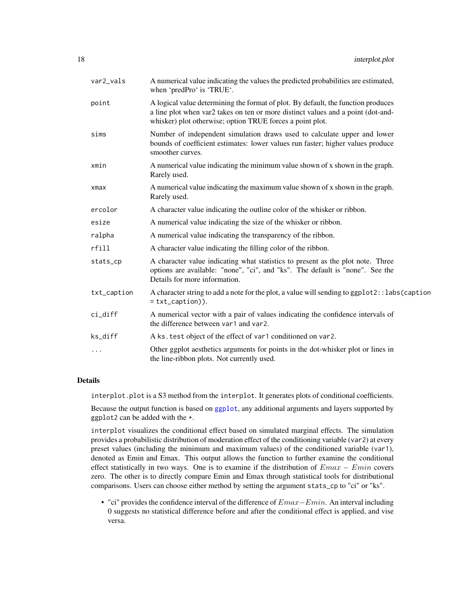<span id="page-17-0"></span>

| var2_vals   | A numerical value indicating the values the predicted probabilities are estimated,<br>when 'predPro' is 'TRUE'.                                                                                                                    |
|-------------|------------------------------------------------------------------------------------------------------------------------------------------------------------------------------------------------------------------------------------|
| point       | A logical value determining the format of plot. By default, the function produces<br>a line plot when var2 takes on ten or more distinct values and a point (dot-and-<br>whisker) plot otherwise; option TRUE forces a point plot. |
| sims        | Number of independent simulation draws used to calculate upper and lower<br>bounds of coefficient estimates: lower values run faster; higher values produce<br>smoother curves.                                                    |
| xmin        | A numerical value indicating the minimum value shown of x shown in the graph.<br>Rarely used.                                                                                                                                      |
| xmax        | A numerical value indicating the maximum value shown of x shown in the graph.<br>Rarely used.                                                                                                                                      |
| ercolor     | A character value indicating the outline color of the whisker or ribbon.                                                                                                                                                           |
| esize       | A numerical value indicating the size of the whisker or ribbon.                                                                                                                                                                    |
| ralpha      | A numerical value indicating the transparency of the ribbon.                                                                                                                                                                       |
| rfill       | A character value indicating the filling color of the ribbon.                                                                                                                                                                      |
| stats_cp    | A character value indicating what statistics to present as the plot note. Three<br>options are available: "none", "ci", and "ks". The default is "none". See the<br>Details for more information.                                  |
| txt_caption | A character string to add a note for the plot, a value will sending to ggplot2::labs(caption<br>$= txt_c$ <sub>aption</sub> $)).$                                                                                                  |
| ci_diff     | A numerical vector with a pair of values indicating the confidence intervals of<br>the difference between var1 and var2.                                                                                                           |
| ks_diff     | A ks. test object of the effect of var1 conditioned on var2.                                                                                                                                                                       |
| $\ddotsc$   | Other ggplot aesthetics arguments for points in the dot-whisker plot or lines in<br>the line-ribbon plots. Not currently used.                                                                                                     |

interplot.plot is a S3 method from the interplot. It generates plots of conditional coefficients.

Because the output function is based on [ggplot](#page-0-0), any additional arguments and layers supported by ggplot2 can be added with the +.

interplot visualizes the conditional effect based on simulated marginal effects. The simulation provides a probabilistic distribution of moderation effect of the conditioning variable (var2) at every preset values (including the minimum and maximum values) of the conditioned variable (var1), denoted as Emin and Emax. This output allows the function to further examine the conditional effect statistically in two ways. One is to examine if the distribution of  $Emax - Emin$  covers zero. The other is to directly compare Emin and Emax through statistical tools for distributional comparisons. Users can choose either method by setting the argument stats\_cp to "ci" or "ks".

• "ci" provides the confidence interval of the difference of  $Emax-Emin$ . An interval including 0 suggests no statistical difference before and after the conditional effect is applied, and vise versa.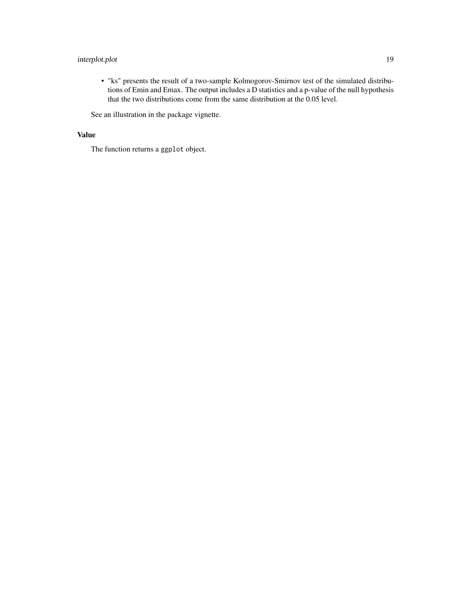#### interplot.plot 19

• "ks" presents the result of a two-sample Kolmogorov-Smirnov test of the simulated distributions of Emin and Emax. The output includes a D statistics and a p-value of the null hypothesis that the two distributions come from the same distribution at the 0.05 level.

See an illustration in the package vignette.

#### Value

The function returns a ggplot object.